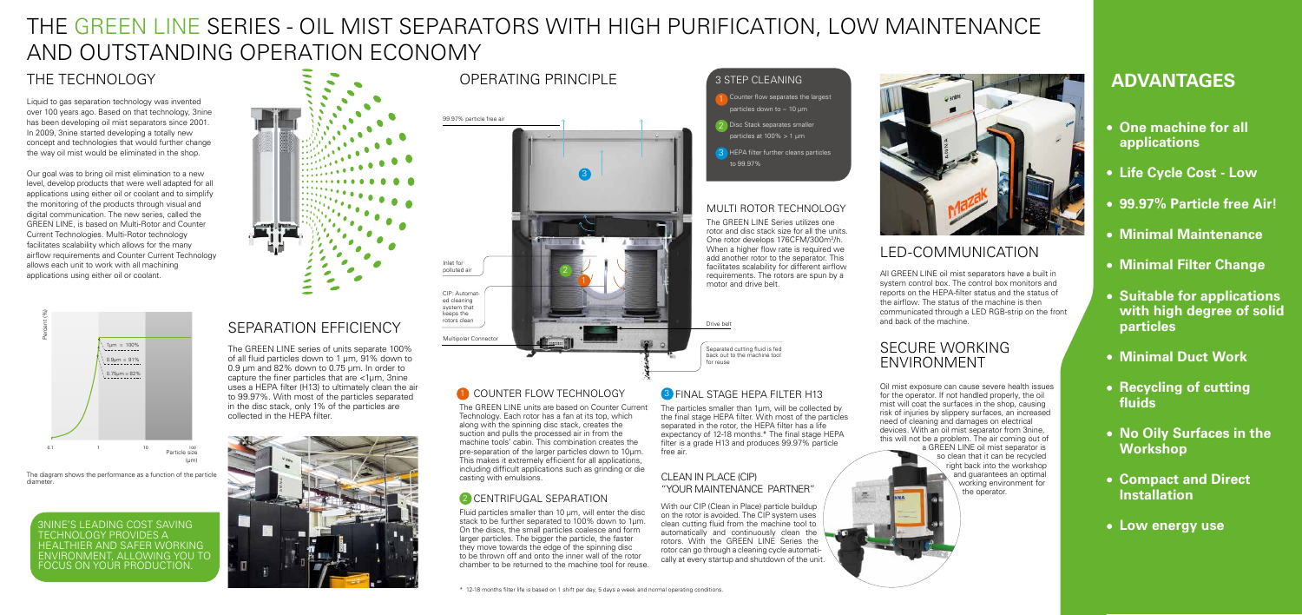## THE TECHNOLOGY

Liquid to gas separation technology was invented over 100 years ago. Based on that technology, 3nine has been developing oil mist separators since 2001. In 2009, 3nine started developing a totally new concept and technologies that would further change the way oil mist would be eliminated in the shop.

Our goal was to bring oil mist elimination to a new level, develop products that were well adapted for all applications using either oil or coolant and to simplify the monitoring of the products through visual and digital communication. The new series, called the GREEN LINE, is based on Multi-Rotor and Counter Current Technologies. Multi-Rotor technology facilitates scalability which allows for the many airflow requirements and Counter Current Technology allows each unit to work with all machining applications using either oil or coolant.

### 3 STEP CLEANING

- Counter flow separates the largest particles down to  $\sim$  10 um
- **Disc Stack separates smaller** particles at 100% > 1 µm
- **HEPA filter further cleans particles** to 99.97%

# THE GREEN LINE SERIES - OIL MIST SEPARATORS WITH HIGH PURIFICATION, LOW MAINTENANCE AND OUTSTANDING OPERATION ECONOMY

## SEPARATION EFFICIENCY

The GREEN LINE series of units separate 100% of all fluid particles down to 1 um, 91% down to 0.9 µm and 82% down to 0.75 µm. In order to capture the finer particles that are <1µm, 3nine uses a HEPA filter (H13) to ultimately clean the air to 99.97%. With most of the particles separated in the disc stack, only 1% of the particles are collected in the HEPA filter.



## OPERATING PRINCIPLE



### 1 COUNTER FLOW TECHNOLOGY (3

The GREEN LINE units are based on Counter Current Technology. Each rotor has a fan at its top, which along with the spinning disc stack, creates the suction and pulls the processed air in from the machine tools' cabin. This combination creates the pre-separation of the larger particles down to 10µm. This makes it extremely efficient for all applications, including difficult applications such as grinding or die casting with emulsions.

### 2 CENTRIFUGAL SEPARATION



The diagram shows the performance as a function of the particle diameter.

### MULTI ROTOR TECHNOLOGY

The GREEN LINE Series utilizes one rotor and disc stack size for all the units. One rotor develops 176CFM/300m<sup>3</sup>/h. When a higher flow rate is required we add another rotor to the separator. This facilitates scalability for different airflow requirements. The rotors are spun by a motor and drive belt.

3NINE'S LEADING COST SAVING TECHNOLOGY PROVIDES A HEALTHIER AND SAFER WORKING ENVIRONMENT, ALLOWING YOU TO FOCUS ON YOUR PRODUCTION



Fluid particles smaller than 10 µm, will enter the disc stack to be further separated to 100% down to 1µm. On the discs, the small particles coalesce and form larger particles. The bigger the particle, the faster they move towards the edge of the spinning disc to be thrown off and onto the inner wall of the rotor chamber to be returned to the machine tool for reuse. The particles smaller than 1µm, will be collected by the final stage HEPA filter. With most of the particles separated in the rotor, the HEPA filter has a life expectancy of 12-18 months.\* The final stage HEPA filter is a grade H13 and produces 99.97% particle free air.

### CLEAN IN PLACE (CIP) "YOUR MAINTENANCE PARTNER"

With our CIP (Clean in Place) particle buildup on the rotor is avoided. The CIP system uses clean cutting fluid from the machine tool to automatically and continuously clean the rotors. With the GREEN LINE Series the rotor can go through a cleaning cycle automatically at every startup and shutdown of the unit.



Drive belt



Separated cutting fluid is fed back out to the machine tool for reuse

## **8** FINAL STAGE HEPA FILTER H13

## LED-COMMUNICATION

All GREEN LINE oil mist separators have a built in system control box. The control box monitors and reports on the HEPA-filter status and the status of the airflow. The status of the machine is then communicated through a LED RGB-strip on the front and back of the machine.

## **ADVANTAGES**

- **One machine for all applications**
- **Life Cycle Cost Low**
- **99.97% Particle free Air!**
- **Minimal Maintenance**
- **Minimal Filter Change**
- **Suitable for applications with high degree of solid particles**
- **Minimal Duct Work**
- **Recycling of cutting fluids**
- **No Oily Surfaces in the Workshop**
- **Compact and Direct Installation**
- **Low energy use**

### SECURE WORKING ENVIRONMENT

墨

Oil mist exposure can cause severe health issues for the operator. If not handled properly, the oil mist will coat the surfaces in the shop, causing risk of injuries by slippery surfaces, an increased need of cleaning and damages on electrical devices. With an oil mist separator from 3nine, this will not be a problem. The air coming out of

a GREEN LINE oil mist separator is so clean that it can be recycled right back into the workshop and guarantees an optimal working environment for the operator.